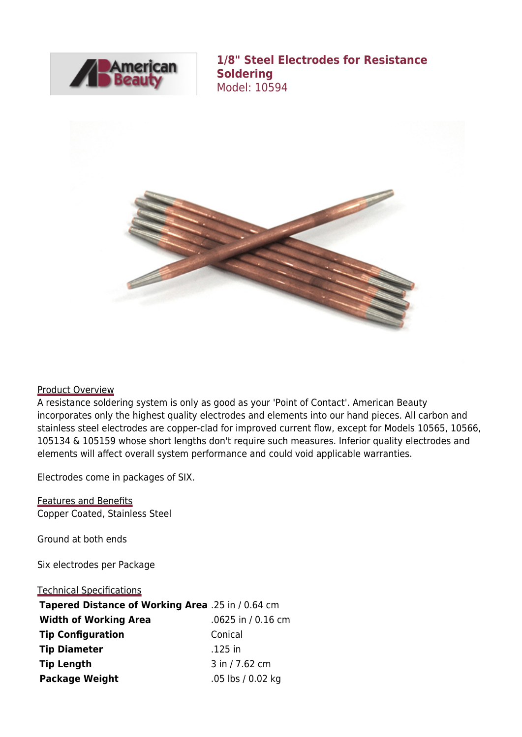

**1/8" Steel Electrodes for Resistance Soldering** Model: 10594



## Product Overview

A resistance soldering system is only as good as your 'Point of Contact'. American Beauty incorporates only the highest quality electrodes and elements into our hand pieces. All carbon and stainless steel electrodes are copper-clad for improved current flow, except for Models 10565, 10566, 105134 & 105159 whose short lengths don't require such measures. Inferior quality electrodes and elements will affect overall system performance and could void applicable warranties.

Electrodes come in packages of SIX.

Features and Benefits Copper Coated, Stainless Steel

Ground at both ends

Six electrodes per Package

## Technical Specifications

| Tapered Distance of Working Area .25 in / 0.64 cm |                      |
|---------------------------------------------------|----------------------|
| <b>Width of Working Area</b>                      | $.0625$ in / 0.16 cm |
| <b>Tip Configuration</b>                          | Conical              |
| <b>Tip Diameter</b>                               | .125 in              |
| <b>Tip Length</b>                                 | 3 in / 7.62 cm       |
| <b>Package Weight</b>                             | .05 lbs / 0.02 kg    |